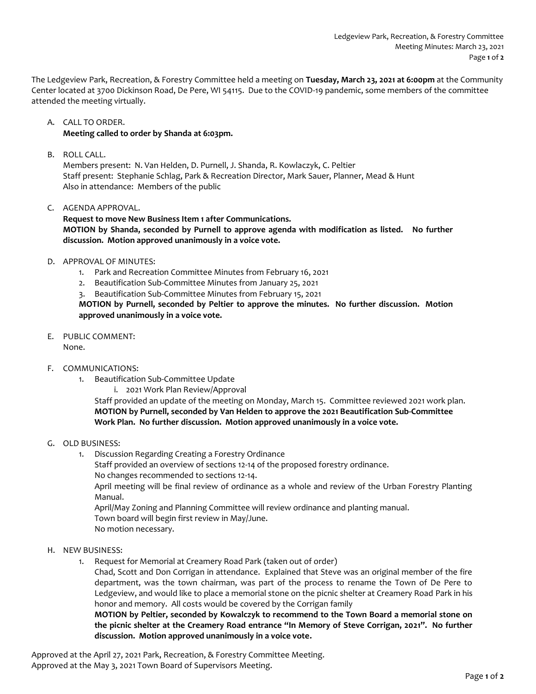The Ledgeview Park, Recreation, & Forestry Committee held a meeting on **Tuesday, March 23, 2021 at 6:00pm** at the Community Center located at 3700 Dickinson Road, De Pere, WI 54115. Due to the COVID-19 pandemic, some members of the committee attended the meeting virtually.

## A. CALL TO ORDER. **Meeting called to order by Shanda at 6:03pm.**

B. ROLL CALL.

Members present: N. Van Helden, D. Purnell, J. Shanda, R. Kowlaczyk, C. Peltier Staff present: Stephanie Schlag, Park & Recreation Director, Mark Sauer, Planner, Mead & Hunt Also in attendance: Members of the public

C. AGENDA APPROVAL.

**Request to move New Business Item 1 after Communications. MOTION by Shanda, seconded by Purnell to approve agenda with modification as listed. No further discussion. Motion approved unanimously in a voice vote.** 

- D. APPROVAL OF MINUTES:
	- 1. Park and Recreation Committee Minutes from February 16, 2021
	- 2. Beautification Sub-Committee Minutes from January 25, 2021
	- 3. Beautification Sub-Committee Minutes from February 15, 2021

**MOTION by Purnell, seconded by Peltier to approve the minutes. No further discussion. Motion approved unanimously in a voice vote.**

E. PUBLIC COMMENT:

None.

- F. COMMUNICATIONS:
	- 1. Beautification Sub-Committee Update
		- i. 2021 Work Plan Review/Approval

Staff provided an update of the meeting on Monday, March 15. Committee reviewed 2021 work plan. **MOTION by Purnell, seconded by Van Helden to approve the 2021 Beautification Sub-Committee Work Plan. No further discussion. Motion approved unanimously in a voice vote.**

- G. OLD BUSINESS:
	- 1. Discussion Regarding Creating a Forestry Ordinance

Staff provided an overview of sections 12-14 of the proposed forestry ordinance.

No changes recommended to sections 12-14.

April meeting will be final review of ordinance as a whole and review of the Urban Forestry Planting Manual.

April/May Zoning and Planning Committee will review ordinance and planting manual. Town board will begin first review in May/June.

- No motion necessary.
- H. NEW BUSINESS:
	- 1. Request for Memorial at Creamery Road Park (taken out of order)

Chad, Scott and Don Corrigan in attendance. Explained that Steve was an original member of the fire department, was the town chairman, was part of the process to rename the Town of De Pere to Ledgeview, and would like to place a memorial stone on the picnic shelter at Creamery Road Park in his honor and memory. All costs would be covered by the Corrigan family

**MOTION by Peltier, seconded by Kowalczyk to recommend to the Town Board a memorial stone on the picnic shelter at the Creamery Road entrance "In Memory of Steve Corrigan, 2021". No further discussion. Motion approved unanimously in a voice vote.** 

Approved at the April 27, 2021 Park, Recreation, & Forestry Committee Meeting. Approved at the May 3, 2021 Town Board of Supervisors Meeting.